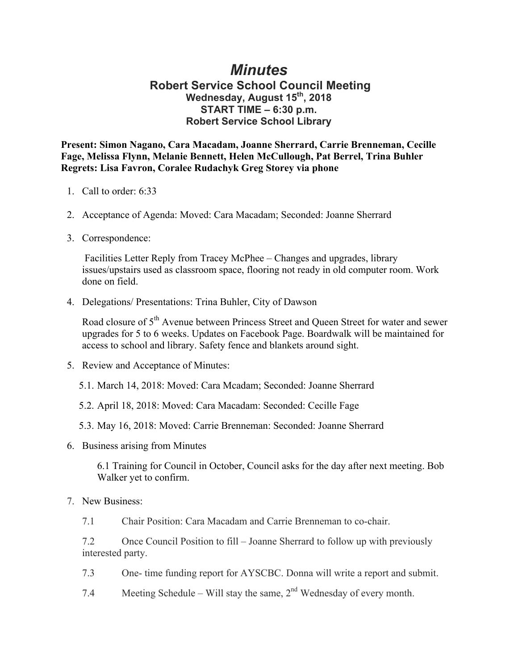## *Minutes*

## **Robert Service School Council Meeting Wednesday, August 15th, 2018 START TIME – 6:30 p.m. Robert Service School Library**

**Present: Simon Nagano, Cara Macadam, Joanne Sherrard, Carrie Brenneman, Cecille Fage, Melissa Flynn, Melanie Bennett, Helen McCullough, Pat Berrel, Trina Buhler Regrets: Lisa Favron, Coralee Rudachyk Greg Storey via phone**

- 1. Call to order: 6:33
- 2. Acceptance of Agenda: Moved: Cara Macadam; Seconded: Joanne Sherrard
- 3. Correspondence:

Facilities Letter Reply from Tracey McPhee – Changes and upgrades, library issues/upstairs used as classroom space, flooring not ready in old computer room. Work done on field.

4. Delegations/ Presentations: Trina Buhler, City of Dawson

Road closure of 5<sup>th</sup> Avenue between Princess Street and Queen Street for water and sewer upgrades for 5 to 6 weeks. Updates on Facebook Page. Boardwalk will be maintained for access to school and library. Safety fence and blankets around sight.

- 5. Review and Acceptance of Minutes:
	- 5.1. March 14, 2018: Moved: Cara Mcadam; Seconded: Joanne Sherrard
	- 5.2. April 18, 2018: Moved: Cara Macadam: Seconded: Cecille Fage
	- 5.3. May 16, 2018: Moved: Carrie Brenneman: Seconded: Joanne Sherrard
- 6. Business arising from Minutes

6.1 Training for Council in October, Council asks for the day after next meeting. Bob Walker yet to confirm.

7. New Business:

7.1 Chair Position: Cara Macadam and Carrie Brenneman to co-chair.

7.2 Once Council Position to fill – Joanne Sherrard to follow up with previously interested party.

- 7.3 One- time funding report for AYSCBC. Donna will write a report and submit.
- 7.4 Meeting Schedule Will stay the same,  $2<sup>nd</sup>$  Wednesday of every month.